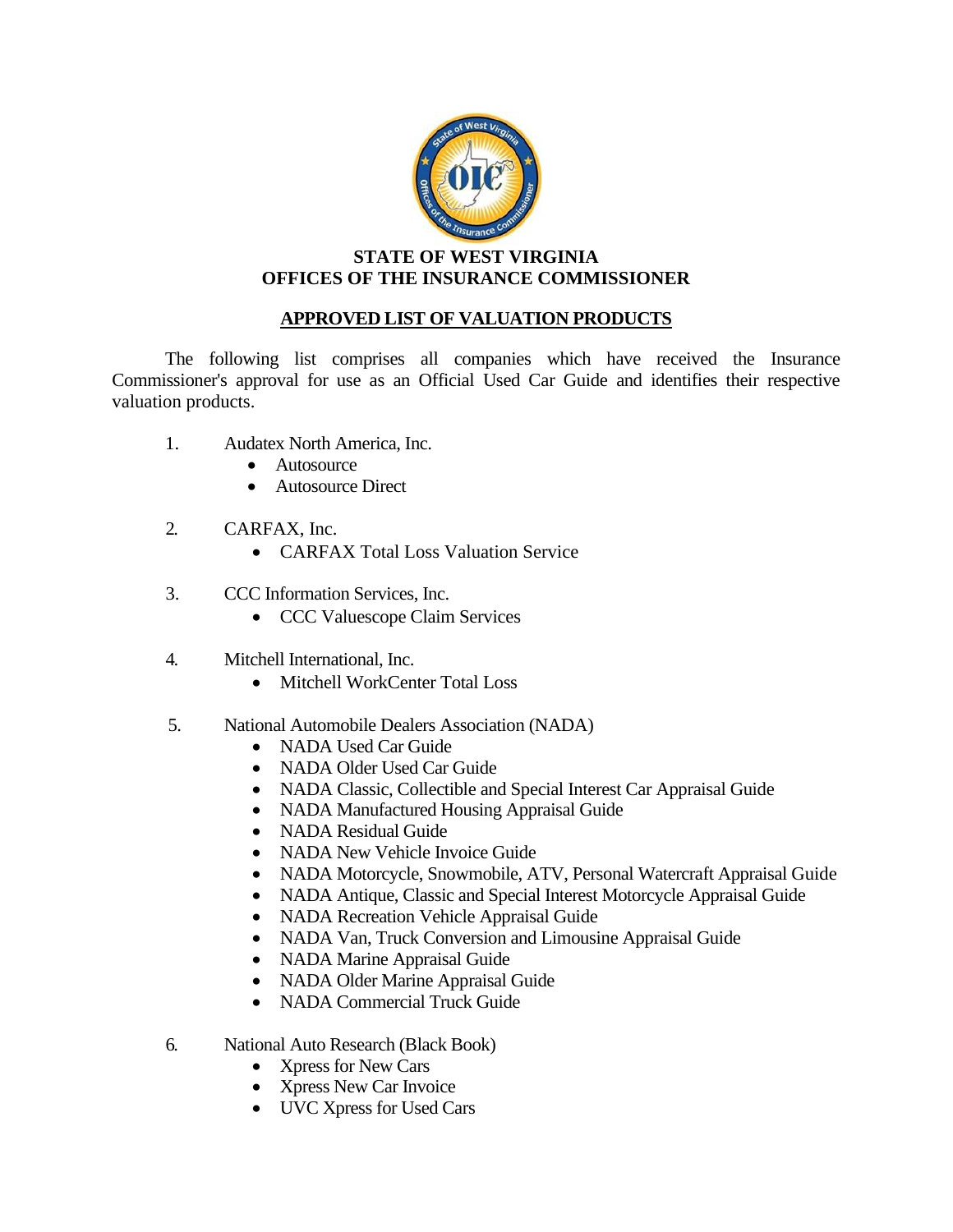

## **STATE OF WEST VIRGINIA OFFICES OF THE INSURANCE COMMISSIONER**

## **APPROVED LIST OF VALUATION PRODUCTS**

The following list comprises all companies which have received the Insurance Commissioner's approval for use as an Official Used Car Guide and identifies their respective valuation products.

- 1. Audatex North America, Inc.
	- Autosource
	- Autosource Direct
- 2. CARFAX, Inc.
	- **CARFAX Total Loss Valuation Service**
- 3. CCC Information Services, Inc.
	- CCC Valuescope Claim Services
- 4. Mitchell International, Inc.
	- Mitchell WorkCenter Total Loss
- 5. National Automobile Dealers Association (NADA)
	- NADA Used Car Guide
	- NADA Older Used Car Guide
	- NADA Classic, Collectible and Special Interest Car Appraisal Guide
	- NADA Manufactured Housing Appraisal Guide
	- NADA Residual Guide
	- NADA New Vehicle Invoice Guide
	- NADA Motorcycle, Snowmobile, ATV, Personal Watercraft Appraisal Guide
	- NADA Antique, Classic and Special Interest Motorcycle Appraisal Guide
	- NADA Recreation Vehicle Appraisal Guide
	- NADA Van, Truck Conversion and Limousine Appraisal Guide
	- NADA Marine Appraisal Guide
	- NADA Older Marine Appraisal Guide
	- NADA Commercial Truck Guide
- 6. National Auto Research (Black Book)
	- Xpress for New Cars
	- Xpress New Car Invoice
	- UVC Xpress for Used Cars